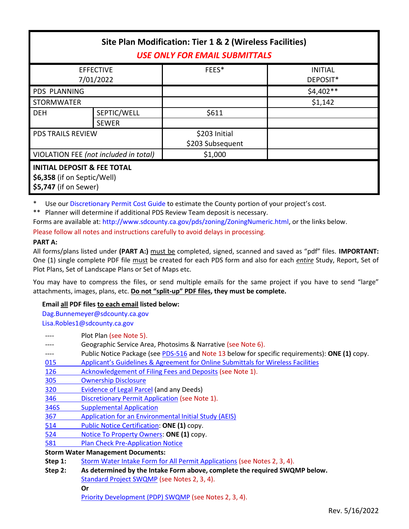| Site Plan Modification: Tier 1 & 2 (Wireless Facilities)<br><b>USE ONLY FOR EMAIL SUBMITTALS</b> |              |                  |                |  |
|--------------------------------------------------------------------------------------------------|--------------|------------------|----------------|--|
| <b>EFFECTIVE</b>                                                                                 |              | FEES*            | <b>INITIAL</b> |  |
| 7/01/2022                                                                                        |              |                  | DEPOSIT*       |  |
| <b>PDS PLANNING</b>                                                                              |              |                  | $$4,402**$     |  |
| <b>STORMWATER</b>                                                                                |              |                  | \$1,142        |  |
| <b>DEH</b>                                                                                       | SEPTIC/WELL  | \$611            |                |  |
|                                                                                                  | <b>SEWER</b> |                  |                |  |
| <b>PDS TRAILS REVIEW</b>                                                                         |              | \$203 Initial    |                |  |
|                                                                                                  |              | \$203 Subsequent |                |  |
| VIOLATION FEE (not included in total)                                                            |              | \$1,000          |                |  |
| <b>INITIAL DEPOSIT &amp; FEE TOTAL</b><br>\$6,358 (if on Septic/Well)<br>\$5,747 (if on Sewer)   |              |                  |                |  |

\* Use ou[r Discretionary Permit Cost Guide](http://www.sandiegocounty.gov/content/dam/sdc/pds/docs/Discretionary_Permit_Cost_Guide.xlsx) to estimate the County portion of your project's cost.

\*\* Planner will determine if additional PDS Review Team deposit is necessary.

Forms are available at: [http://www.sdcounty.ca.gov/pds/zoning/ZoningNumeric.html,](http://www.sdcounty.ca.gov/pds/zoning/ZoningNumeric.html) or the links below.

Please follow all notes and instructions carefully to avoid delays in processing.

## **PART A:**

All forms/plans listed under **(PART A:)** must be completed, signed, scanned and saved as "pdf" files. **IMPORTANT:** One (1) single complete PDF file must be created for each PDS form and also for each *entire* Study, Report, Set of Plot Plans, Set of Landscape Plans or Set of Maps etc.

You may have to compress the files, or send multiple emails for the same project if you have to send "large" attachments, images, plans, etc. **Do not "split-up" PDF files, they must be complete.**

# **Email all PDF files to each email listed below:**

[Dag.Bunnemeyer@sdcounty.ca.gov](mailto:Dag.Bunnemeyer@sdcounty.ca.gov) [Lisa.Robles1@sdcounty.ca.gov](mailto:Lisa.Robles1@sdcounty.ca.gov)

|                                          | Plot Plan (see Note 5).                                                                        |  |  |  |
|------------------------------------------|------------------------------------------------------------------------------------------------|--|--|--|
|                                          | Geographic Service Area, Photosims & Narrative (see Note 6).                                   |  |  |  |
|                                          | Public Notice Package (see PDS-516 and Note 13 below for specific requirements): ONE (1) copy. |  |  |  |
| 015                                      | Applicant's Guidelines & Agreement for Online Submittals for Wireless Facilities               |  |  |  |
| <u>126</u>                               | Acknowledgement of Filing Fees and Deposits (see Note 1).                                      |  |  |  |
| 305                                      | <b>Ownership Disclosure</b>                                                                    |  |  |  |
| 320                                      | <b>Evidence of Legal Parcel (and any Deeds)</b>                                                |  |  |  |
| 346                                      | Discretionary Permit Application (see Note 1).                                                 |  |  |  |
| 346S                                     | <b>Supplemental Application</b>                                                                |  |  |  |
| 367                                      | <b>Application for an Environmental Initial Study (AEIS)</b>                                   |  |  |  |
| 514                                      | <b>Public Notice Certification: ONE (1) copy.</b>                                              |  |  |  |
| 524                                      | Notice To Property Owners: ONE (1) copy.                                                       |  |  |  |
| 581                                      | <b>Plan Check Pre-Application Notice</b>                                                       |  |  |  |
| <b>Storm Water Management Documents:</b> |                                                                                                |  |  |  |
| Step 1:                                  | Storm Water Intake Form for All Permit Applications (see Notes 2, 3, 4).                       |  |  |  |
| Step 2:                                  | As determined by the Intake Form above, complete the required SWQMP below.                     |  |  |  |
|                                          | Standard Project SWQMP (see Notes 2, 3, 4).                                                    |  |  |  |
|                                          | Or                                                                                             |  |  |  |
|                                          | Priority Development (PDP) SWQMP (see Notes 2, 3, 4).                                          |  |  |  |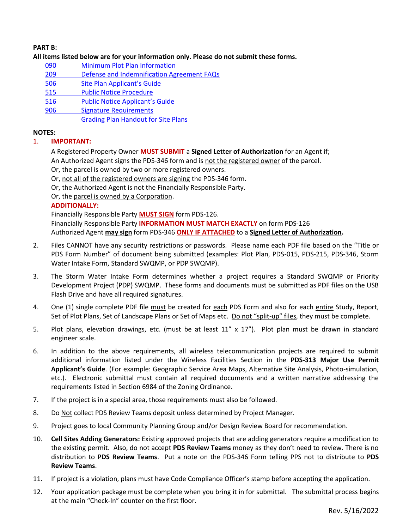## **PART B:**

#### **All items listed below are for your information only. Please do not submit these forms.**

- 090 [Minimum Plot Plan Information](http://www.sdcounty.ca.gov/pds/docs/pds090.pdf)
- 209 [Defense and Indemnification Agreement FAQs](http://www.sdcounty.ca.gov/pds/zoning/formfields/PDS-PLN-209.pdf)
- 506 Site [Plan Applicant's Guide](http://www.sdcounty.ca.gov/pds/zoning/formfields/PDS-PLN-506.pdf)
- [515 Public Notice Procedure](http://www.sdcounty.ca.gov/pds/zoning/formfields/PDS-PLN-515.pdf)
- 516 [Public Notice Applicant's Guide](http://www.sdcounty.ca.gov/pds/zoning/formfields/PDS-PLN-516.pdf)
- 906 [Signature Requirements](http://www.sdcounty.ca.gov/pds/zoning/formfields/PDS-PLN-906.pdf)
	- [Grading Plan Handout for Site Plans](http://www.sdcounty.ca.gov/pds/zoning/formfields/GradePlanHandoutSitePlanMUP.pdf)

# **NOTES:**

# 1. **IMPORTANT:**

A Registered Property Owner **MUST SUBMIT** a **Signed Letter of Authorization** for an Agent if; An Authorized Agent signs the PDS-346 form and is not the registered owner of the parcel.

Or, the parcel is owned by two or more registered owners.

Or, not all of the registered owners are signing the PDS-346 form.

- Or, the Authorized Agent is not the Financially Responsible Party.
- Or, the parcel is owned by a Corporation.

# **ADDITIONALLY:**

Financially Responsible Party **MUST SIGN** form PDS-126. Financially Responsible Party **INFORMATION MUST MATCH EXACTLY** on form PDS-126

Authorized Agent **may sign** form PDS-346 **ONLY IF ATTACHED** to a **Signed Letter of Authorization.**

- 2. Files CANNOT have any security restrictions or passwords. Please name each PDF file based on the "Title or PDS Form Number" of document being submitted (examples: Plot Plan, PDS-015, PDS-215, PDS-346, Storm Water Intake Form, Standard SWQMP, or PDP SWQMP).
- 3. The Storm Water Intake Form determines whether a project requires a Standard SWQMP or Priority Development Project (PDP) SWQMP. These forms and documents must be submitted as PDF files on the USB Flash Drive and have all required signatures.
- 4. One (1) single complete PDF file must be created for each PDS Form and also for each entire Study, Report, Set of Plot Plans, Set of Landscape Plans or Set of Maps etc. Do not "split-up" files, they must be complete.
- 5. Plot plans, elevation drawings, etc. (must be at least 11" x 17"). Plot plan must be drawn in standard engineer scale.
- 6. In addition to the above requirements, all wireless telecommunication projects are required to submit additional information listed under the Wireless Facilities Section in the **PDS-313 Major Use Permit Applicant's Guide**. (For example: Geographic Service Area Maps, Alternative Site Analysis, Photo-simulation, etc.). Electronic submittal must contain all required documents and a written narrative addressing the requirements listed in Section 6984 of the Zoning Ordinance.
- 7. If the project is in a special area, those requirements must also be followed.
- 8. Do Not collect PDS Review Teams deposit unless determined by Project Manager.
- 9. Project goes to local Community Planning Group and/or Design Review Board for recommendation.
- 10. **Cell Sites Adding Generators:** Existing approved projects that are adding generators require a modification to the existing permit. Also, do not accept **PDS Review Teams** money as they don't need to review. There is no distribution to **PDS Review Teams**. Put a note on the PDS-346 Form telling PPS not to distribute to **PDS Review Teams**.
- 11. If project is a violation, plans must have Code Compliance Officer's stamp before accepting the application.
- 12. Your application package must be complete when you bring it in for submittal. The submittal process begins at the main "Check-In" counter on the first floor.